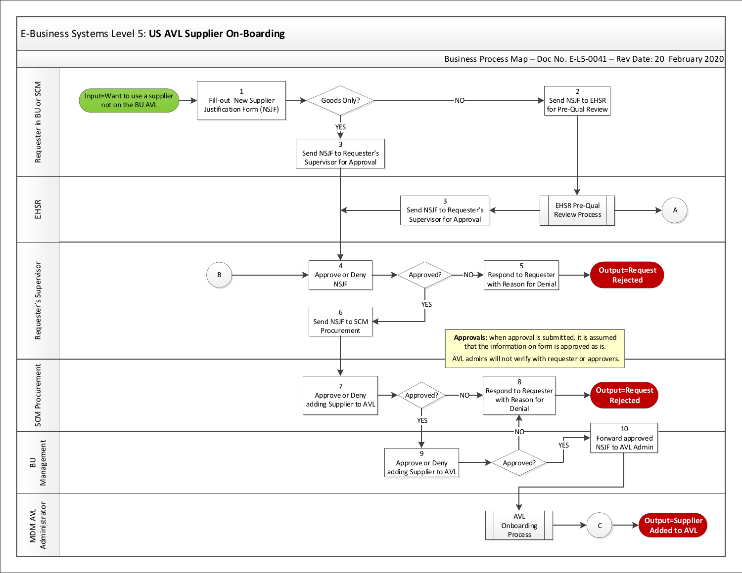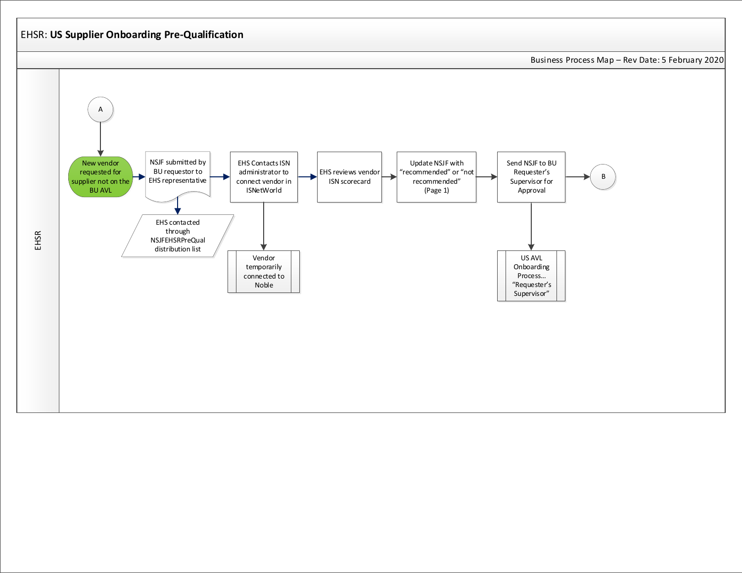